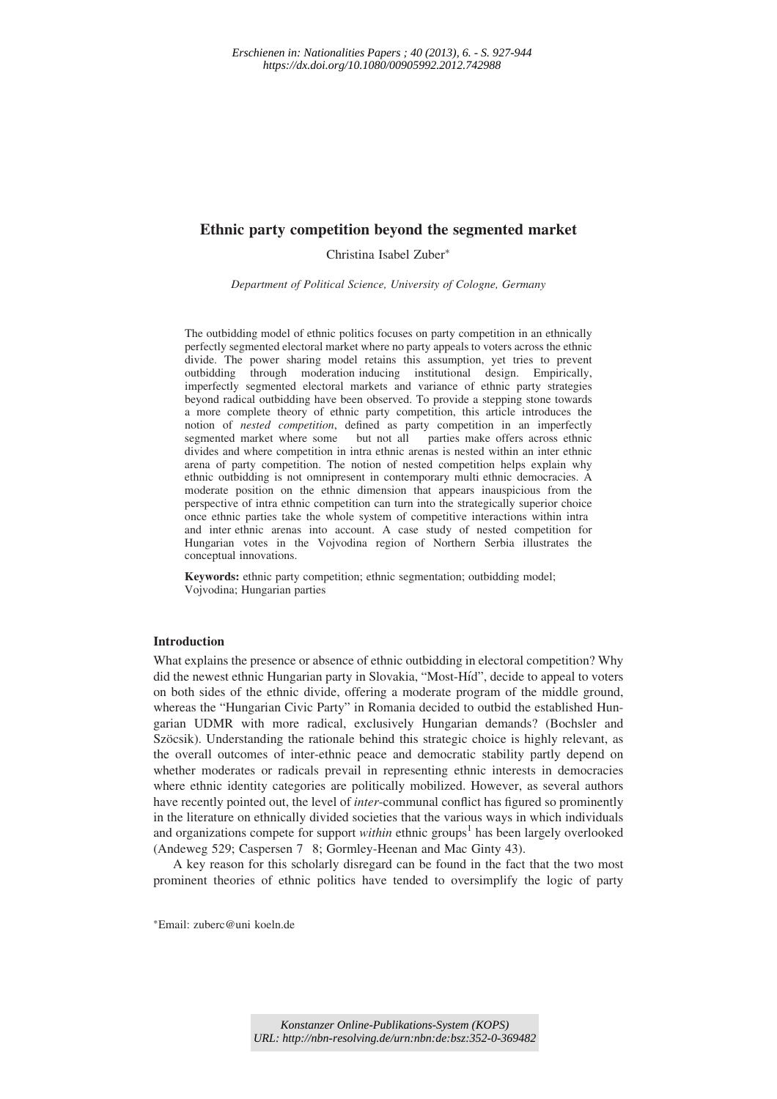# Ethnic party competition beyond the segmented market

Christina Isabel Zuber<sup>∗</sup>

Department of Political Science, University of Cologne, Germany

The outbidding model of ethnic politics focuses on party competition in an ethnically perfectly segmented electoral market where no party appeals to voters across the ethnic divide. The power sharing model retains this assumption, yet tries to prevent outbidding through moderation inducing institutional design. Empirically, imperfectly segmented electoral markets and variance of ethnic party strategies beyond radical outbidding have been observed. To provide a stepping stone towards a more complete theory of ethnic party competition, this article introduces the notion of nested competition, defined as party competition in an imperfectly segmented market where some but not all parties make offers across ethnic divides and where competition in intra ethnic arenas is nested within an inter ethnic arena of party competition. The notion of nested competition helps explain why ethnic outbidding is not omnipresent in contemporary multi ethnic democracies. A moderate position on the ethnic dimension that appears inauspicious from the perspective of intra ethnic competition can turn into the strategically superior choice once ethnic parties take the whole system of competitive interactions within intra and inter ethnic arenas into account. A case study of nested competition for Hungarian votes in the Vojvodina region of Northern Serbia illustrates the conceptual innovations.

Keywords: ethnic party competition; ethnic segmentation; outbidding model; Vojvodina; Hungarian parties

## Introduction

What explains the presence or absence of ethnic outbidding in electoral competition? Why did the newest ethnic Hungarian party in Slovakia, "Most-Hı´d", decide to appeal to voters on both sides of the ethnic divide, offering a moderate program of the middle ground, whereas the "Hungarian Civic Party" in Romania decided to outbid the established Hungarian UDMR with more radical, exclusively Hungarian demands? (Bochsler and Szöcsik). Understanding the rationale behind this strategic choice is highly relevant, as the overall outcomes of inter-ethnic peace and democratic stability partly depend on whether moderates or radicals prevail in representing ethnic interests in democracies where ethnic identity categories are politically mobilized. However, as several authors have recently pointed out, the level of inter-communal conflict has figured so prominently in the literature on ethnically divided societies that the various ways in which individuals and organizations compete for support *within* ethnic groups<sup>1</sup> has been largely overlooked (Andeweg 529; Caspersen 7 8; Gormley-Heenan and Mac Ginty 43).

A key reason for this scholarly disregard can be found in the fact that the two most prominent theories of ethnic politics have tended to oversimplify the logic of party

<sup>∗</sup>Email: zuberc@uni koeln.de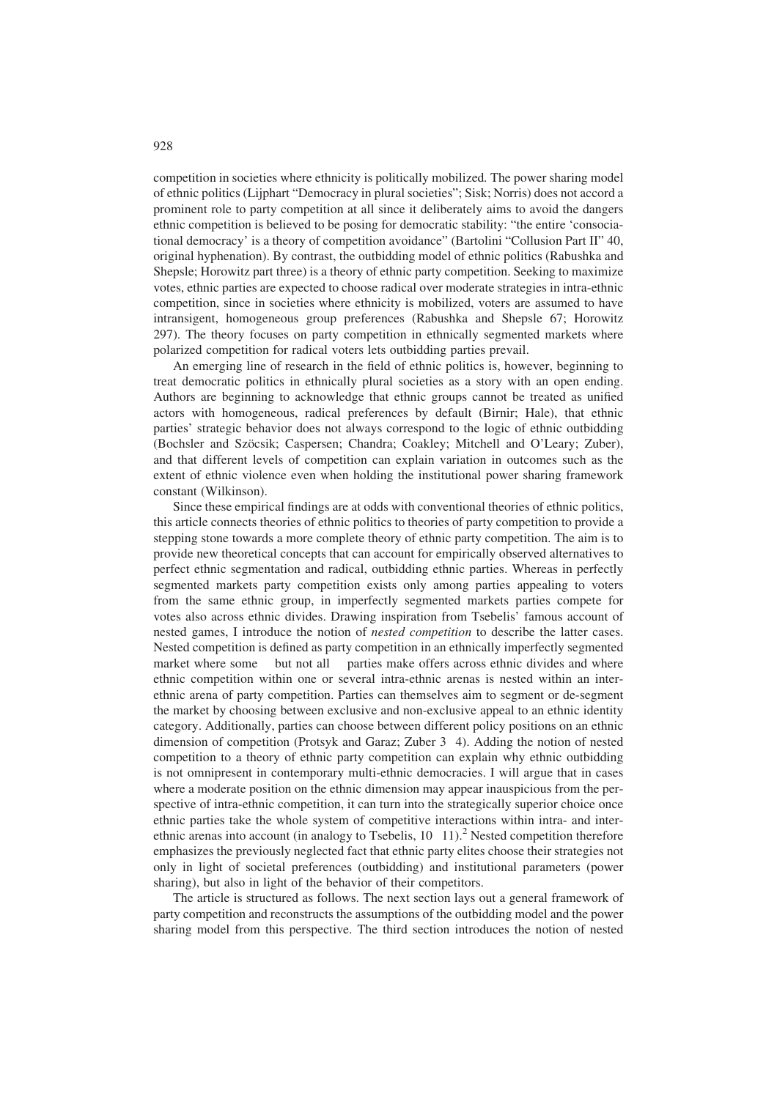competition in societies where ethnicity is politically mobilized. The power sharing model of ethnic politics (Lijphart "Democracy in plural societies"; Sisk; Norris) does not accord a prominent role to party competition at all since it deliberately aims to avoid the dangers ethnic competition is believed to be posing for democratic stability: "the entire 'consociational democracy' is a theory of competition avoidance" (Bartolini "Collusion Part II" 40, original hyphenation). By contrast, the outbidding model of ethnic politics (Rabushka and Shepsle; Horowitz part three) is a theory of ethnic party competition. Seeking to maximize votes, ethnic parties are expected to choose radical over moderate strategies in intra-ethnic competition, since in societies where ethnicity is mobilized, voters are assumed to have intransigent, homogeneous group preferences (Rabushka and Shepsle 67; Horowitz 297). The theory focuses on party competition in ethnically segmented markets where polarized competition for radical voters lets outbidding parties prevail.

An emerging line of research in the field of ethnic politics is, however, beginning to treat democratic politics in ethnically plural societies as a story with an open ending. Authors are beginning to acknowledge that ethnic groups cannot be treated as unified actors with homogeneous, radical preferences by default (Birnir; Hale), that ethnic parties' strategic behavior does not always correspond to the logic of ethnic outbidding (Bochsler and Szöcsik; Caspersen; Chandra; Coakley; Mitchell and O'Leary; Zuber), and that different levels of competition can explain variation in outcomes such as the extent of ethnic violence even when holding the institutional power sharing framework constant (Wilkinson).

Since these empirical findings are at odds with conventional theories of ethnic politics, this article connects theories of ethnic politics to theories of party competition to provide a stepping stone towards a more complete theory of ethnic party competition. The aim is to provide new theoretical concepts that can account for empirically observed alternatives to perfect ethnic segmentation and radical, outbidding ethnic parties. Whereas in perfectly segmented markets party competition exists only among parties appealing to voters from the same ethnic group, in imperfectly segmented markets parties compete for votes also across ethnic divides. Drawing inspiration from Tsebelis' famous account of nested games, I introduce the notion of nested competition to describe the latter cases. Nested competition is defined as party competition in an ethnically imperfectly segmented market where some but not all parties make offers across ethnic divides and where ethnic competition within one or several intra-ethnic arenas is nested within an interethnic arena of party competition. Parties can themselves aim to segment or de-segment the market by choosing between exclusive and non-exclusive appeal to an ethnic identity category. Additionally, parties can choose between different policy positions on an ethnic dimension of competition (Protsyk and Garaz; Zuber 3 4). Adding the notion of nested competition to a theory of ethnic party competition can explain why ethnic outbidding is not omnipresent in contemporary multi-ethnic democracies. I will argue that in cases where a moderate position on the ethnic dimension may appear inauspicious from the perspective of intra-ethnic competition, it can turn into the strategically superior choice once ethnic parties take the whole system of competitive interactions within intra- and interethnic arenas into account (in analogy to Tsebelis,  $10 \t 11$ ).<sup>2</sup> Nested competition therefore emphasizes the previously neglected fact that ethnic party elites choose their strategies not only in light of societal preferences (outbidding) and institutional parameters (power sharing), but also in light of the behavior of their competitors.

The article is structured as follows. The next section lays out a general framework of party competition and reconstructs the assumptions of the outbidding model and the power sharing model from this perspective. The third section introduces the notion of nested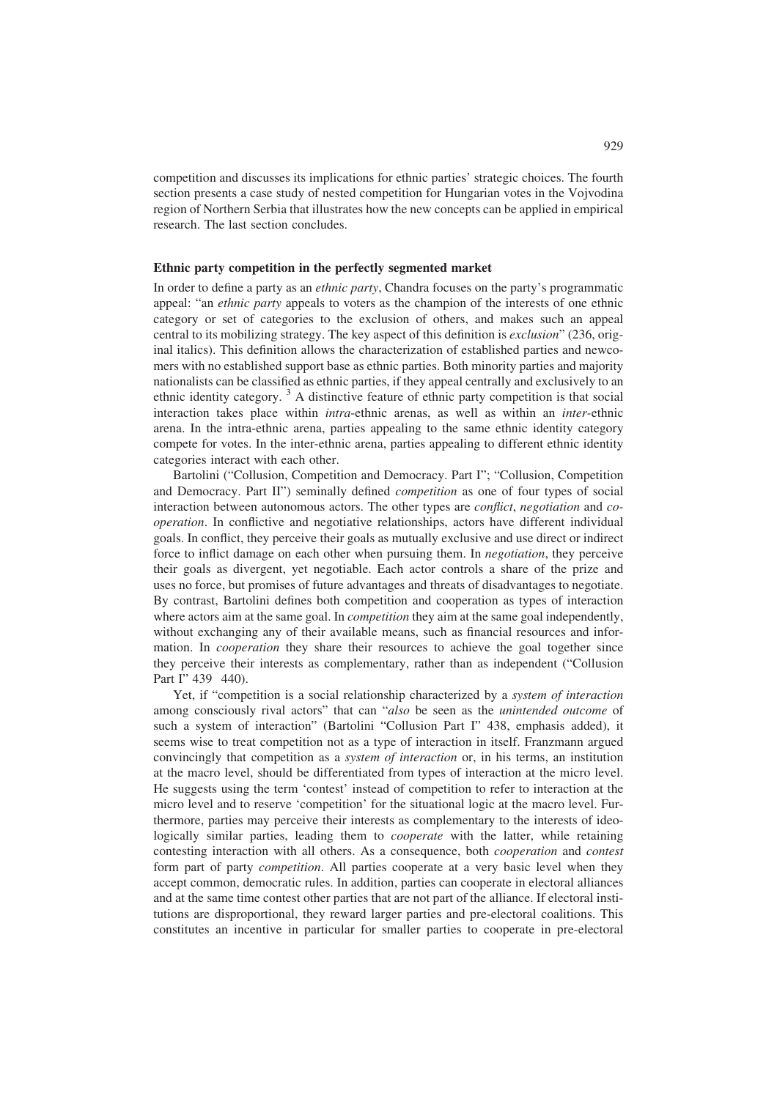competition and discusses its implications for ethnic parties' strategic choices. The fourth section presents a case study of nested competition for Hungarian votes in the Vojvodina region of Northern Serbia that illustrates how the new concepts can be applied in empirical research. The last section concludes.

## Ethnic party competition in the perfectly segmented market

In order to define a party as an ethnic party, Chandra focuses on the party's programmatic appeal: "an *ethnic party* appeals to voters as the champion of the interests of one ethnic category or set of categories to the exclusion of others, and makes such an appeal central to its mobilizing strategy. The key aspect of this definition is exclusion" (236, original italics). This definition allows the characterization of established parties and newcomers with no established support base as ethnic parties. Both minority parties and majority nationalists can be classified as ethnic parties, if they appeal centrally and exclusively to an ethnic identity category. <sup>3</sup> A distinctive feature of ethnic party competition is that social interaction takes place within intra-ethnic arenas, as well as within an inter-ethnic arena. In the intra-ethnic arena, parties appealing to the same ethnic identity category compete for votes. In the inter-ethnic arena, parties appealing to different ethnic identity categories interact with each other.

Bartolini ("Collusion, Competition and Democracy. Part I"; "Collusion, Competition and Democracy. Part II") seminally defined *competition* as one of four types of social interaction between autonomous actors. The other types are conflict, negotiation and cooperation. In conflictive and negotiative relationships, actors have different individual goals. In conflict, they perceive their goals as mutually exclusive and use direct or indirect force to inflict damage on each other when pursuing them. In negotiation, they perceive their goals as divergent, yet negotiable. Each actor controls a share of the prize and uses no force, but promises of future advantages and threats of disadvantages to negotiate. By contrast, Bartolini defines both competition and cooperation as types of interaction where actors aim at the same goal. In *competition* they aim at the same goal independently, without exchanging any of their available means, such as financial resources and information. In cooperation they share their resources to achieve the goal together since they perceive their interests as complementary, rather than as independent ("Collusion Part I" 439 440).

Yet, if "competition is a social relationship characterized by a system of interaction among consciously rival actors" that can "also be seen as the unintended outcome of such a system of interaction" (Bartolini "Collusion Part I" 438, emphasis added), it seems wise to treat competition not as a type of interaction in itself. Franzmann argued convincingly that competition as a *system of interaction* or, in his terms, an institution at the macro level, should be differentiated from types of interaction at the micro level. He suggests using the term 'contest' instead of competition to refer to interaction at the micro level and to reserve 'competition' for the situational logic at the macro level. Furthermore, parties may perceive their interests as complementary to the interests of ideologically similar parties, leading them to *cooperate* with the latter, while retaining contesting interaction with all others. As a consequence, both cooperation and contest form part of party competition. All parties cooperate at a very basic level when they accept common, democratic rules. In addition, parties can cooperate in electoral alliances and at the same time contest other parties that are not part of the alliance. If electoral institutions are disproportional, they reward larger parties and pre-electoral coalitions. This constitutes an incentive in particular for smaller parties to cooperate in pre-electoral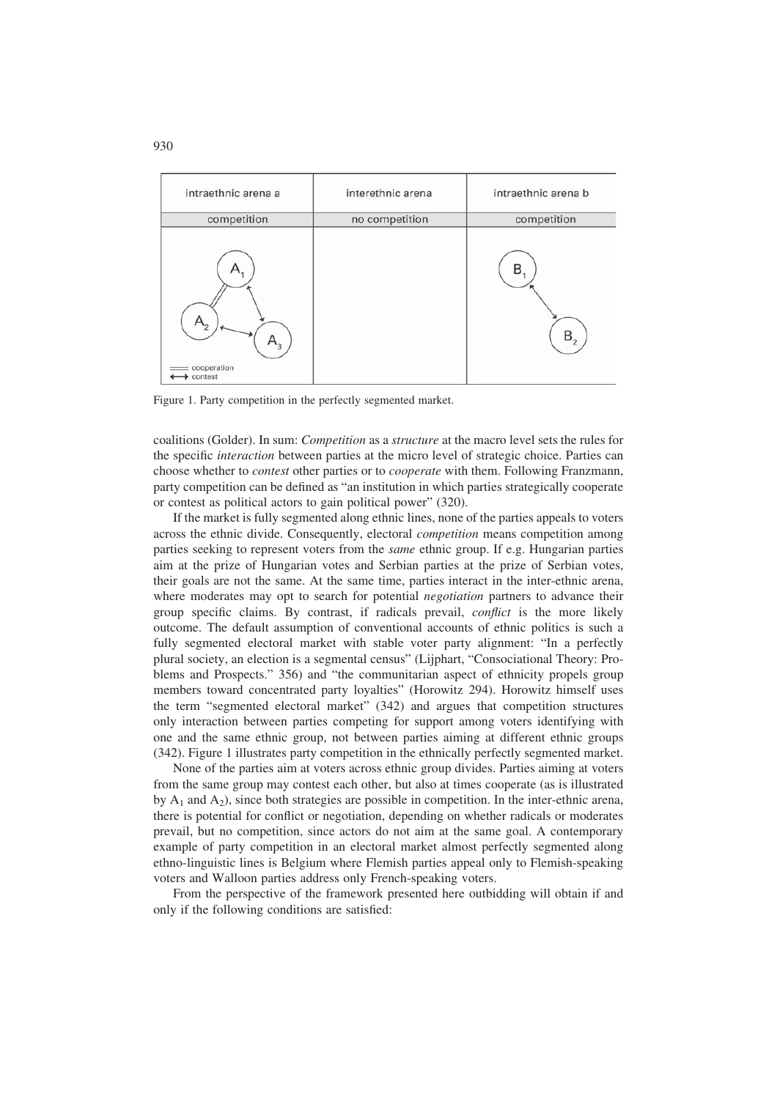

Figure 1. Party competition in the perfectly segmented market.

coalitions (Golder). In sum: Competition as a structure at the macro level sets the rules for the specific interaction between parties at the micro level of strategic choice. Parties can choose whether to *contest* other parties or to *cooperate* with them. Following Franzmann, party competition can be defined as "an institution in which parties strategically cooperate or contest as political actors to gain political power" (320).

If the market is fully segmented along ethnic lines, none of the parties appeals to voters across the ethnic divide. Consequently, electoral competition means competition among parties seeking to represent voters from the same ethnic group. If e.g. Hungarian parties aim at the prize of Hungarian votes and Serbian parties at the prize of Serbian votes, their goals are not the same. At the same time, parties interact in the inter-ethnic arena, where moderates may opt to search for potential *negotiation* partners to advance their group specific claims. By contrast, if radicals prevail, conflict is the more likely outcome. The default assumption of conventional accounts of ethnic politics is such a fully segmented electoral market with stable voter party alignment: "In a perfectly plural society, an election is a segmental census" (Lijphart, "Consociational Theory: Problems and Prospects." 356) and "the communitarian aspect of ethnicity propels group members toward concentrated party loyalties" (Horowitz 294). Horowitz himself uses the term "segmented electoral market" (342) and argues that competition structures only interaction between parties competing for support among voters identifying with one and the same ethnic group, not between parties aiming at different ethnic groups (342). Figure 1 illustrates party competition in the ethnically perfectly segmented market.

None of the parties aim at voters across ethnic group divides. Parties aiming at voters from the same group may contest each other, but also at times cooperate (as is illustrated by  $A_1$  and  $A_2$ ), since both strategies are possible in competition. In the inter-ethnic arena, there is potential for conflict or negotiation, depending on whether radicals or moderates prevail, but no competition, since actors do not aim at the same goal. A contemporary example of party competition in an electoral market almost perfectly segmented along ethno-linguistic lines is Belgium where Flemish parties appeal only to Flemish-speaking voters and Walloon parties address only French-speaking voters.

From the perspective of the framework presented here outbidding will obtain if and only if the following conditions are satisfied: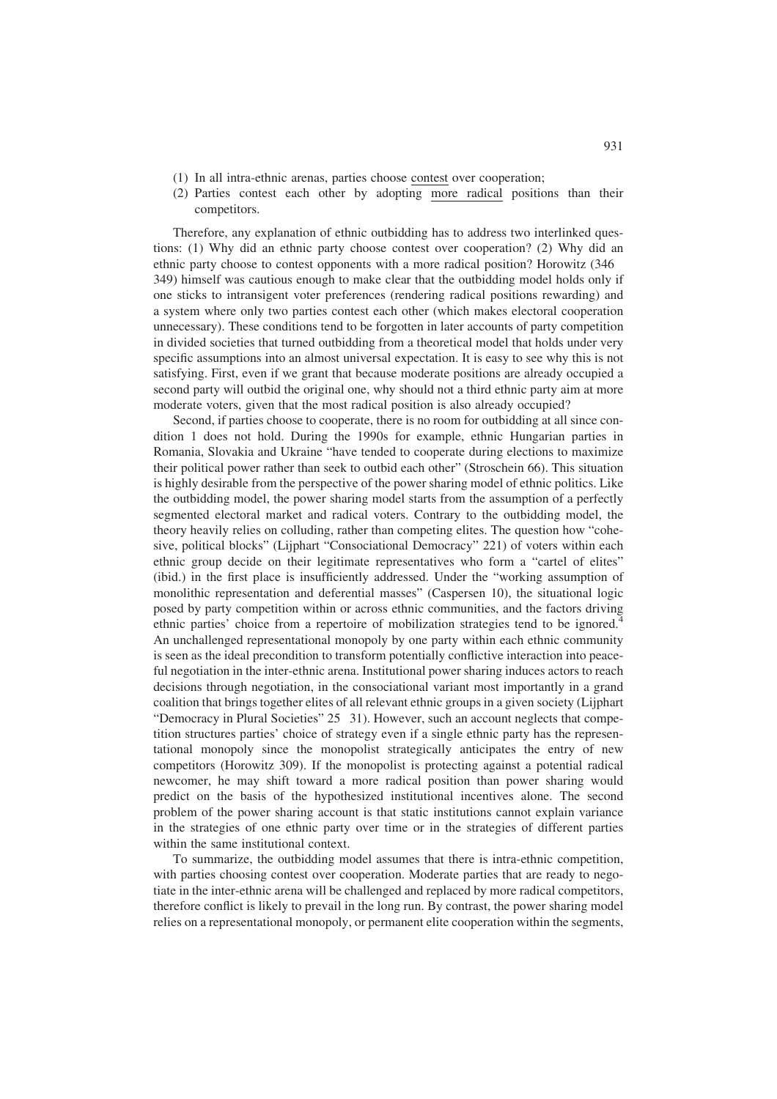- (1) In all intra-ethnic arenas, parties choose contest over cooperation;
- (2) Parties contest each other by adopting more radical positions than their competitors.

Therefore, any explanation of ethnic outbidding has to address two interlinked questions: (1) Why did an ethnic party choose contest over cooperation? (2) Why did an ethnic party choose to contest opponents with a more radical position? Horowitz (346 349) himself was cautious enough to make clear that the outbidding model holds only if one sticks to intransigent voter preferences (rendering radical positions rewarding) and a system where only two parties contest each other (which makes electoral cooperation unnecessary). These conditions tend to be forgotten in later accounts of party competition in divided societies that turned outbidding from a theoretical model that holds under very specific assumptions into an almost universal expectation. It is easy to see why this is not satisfying. First, even if we grant that because moderate positions are already occupied a second party will outbid the original one, why should not a third ethnic party aim at more moderate voters, given that the most radical position is also already occupied?

Second, if parties choose to cooperate, there is no room for outbidding at all since condition 1 does not hold. During the 1990s for example, ethnic Hungarian parties in Romania, Slovakia and Ukraine "have tended to cooperate during elections to maximize their political power rather than seek to outbid each other" (Stroschein 66). This situation is highly desirable from the perspective of the power sharing model of ethnic politics. Like the outbidding model, the power sharing model starts from the assumption of a perfectly segmented electoral market and radical voters. Contrary to the outbidding model, the theory heavily relies on colluding, rather than competing elites. The question how "cohesive, political blocks" (Lijphart "Consociational Democracy" 221) of voters within each ethnic group decide on their legitimate representatives who form a "cartel of elites" (ibid.) in the first place is insufficiently addressed. Under the "working assumption of monolithic representation and deferential masses" (Caspersen 10), the situational logic posed by party competition within or across ethnic communities, and the factors driving ethnic parties' choice from a repertoire of mobilization strategies tend to be ignored.<sup>4</sup> An unchallenged representational monopoly by one party within each ethnic community is seen as the ideal precondition to transform potentially conflictive interaction into peaceful negotiation in the inter-ethnic arena. Institutional power sharing induces actors to reach decisions through negotiation, in the consociational variant most importantly in a grand coalition that brings together elites of all relevant ethnic groups in a given society (Lijphart "Democracy in Plural Societies" 25 31). However, such an account neglects that competition structures parties' choice of strategy even if a single ethnic party has the representational monopoly since the monopolist strategically anticipates the entry of new competitors (Horowitz 309). If the monopolist is protecting against a potential radical newcomer, he may shift toward a more radical position than power sharing would predict on the basis of the hypothesized institutional incentives alone. The second problem of the power sharing account is that static institutions cannot explain variance in the strategies of one ethnic party over time or in the strategies of different parties within the same institutional context.

To summarize, the outbidding model assumes that there is intra-ethnic competition, with parties choosing contest over cooperation. Moderate parties that are ready to negotiate in the inter-ethnic arena will be challenged and replaced by more radical competitors, therefore conflict is likely to prevail in the long run. By contrast, the power sharing model relies on a representational monopoly, or permanent elite cooperation within the segments,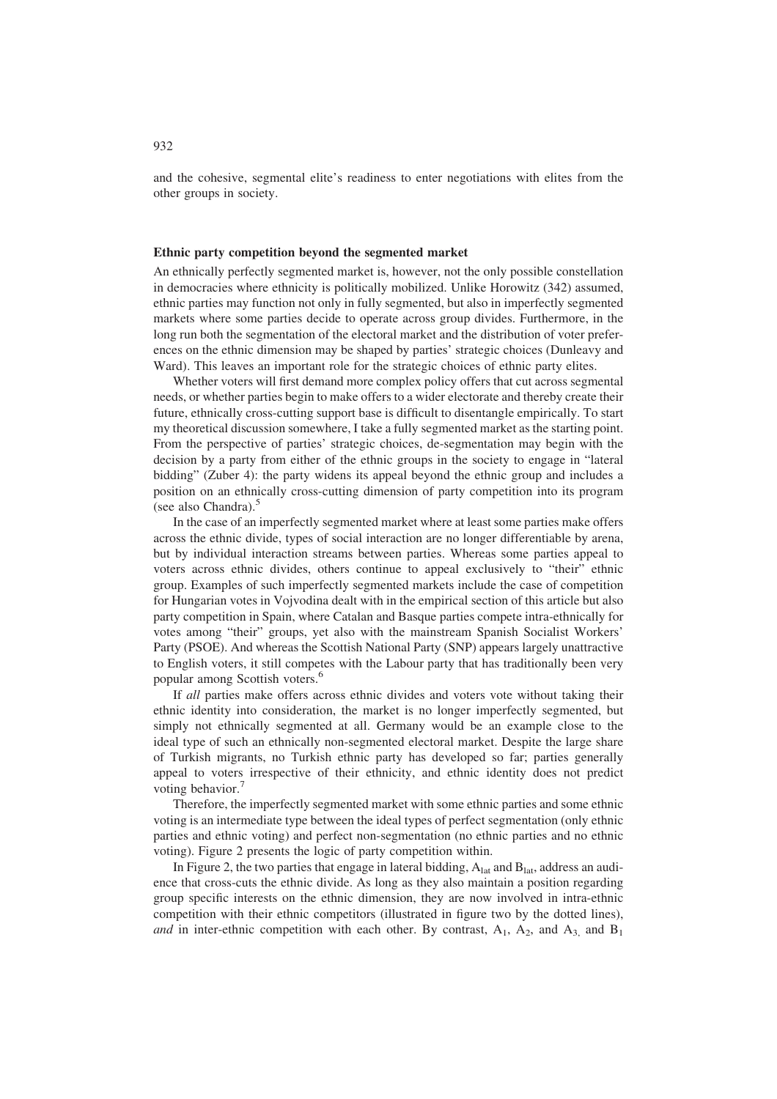and the cohesive, segmental elite's readiness to enter negotiations with elites from the other groups in society.

### Ethnic party competition beyond the segmented market

An ethnically perfectly segmented market is, however, not the only possible constellation in democracies where ethnicity is politically mobilized. Unlike Horowitz (342) assumed, ethnic parties may function not only in fully segmented, but also in imperfectly segmented markets where some parties decide to operate across group divides. Furthermore, in the long run both the segmentation of the electoral market and the distribution of voter preferences on the ethnic dimension may be shaped by parties' strategic choices (Dunleavy and Ward). This leaves an important role for the strategic choices of ethnic party elites.

Whether voters will first demand more complex policy offers that cut across segmental needs, or whether parties begin to make offers to a wider electorate and thereby create their future, ethnically cross-cutting support base is difficult to disentangle empirically. To start my theoretical discussion somewhere, I take a fully segmented market as the starting point. From the perspective of parties' strategic choices, de-segmentation may begin with the decision by a party from either of the ethnic groups in the society to engage in "lateral bidding" (Zuber 4): the party widens its appeal beyond the ethnic group and includes a position on an ethnically cross-cutting dimension of party competition into its program (see also Chandra).<sup>5</sup>

In the case of an imperfectly segmented market where at least some parties make offers across the ethnic divide, types of social interaction are no longer differentiable by arena, but by individual interaction streams between parties. Whereas some parties appeal to voters across ethnic divides, others continue to appeal exclusively to "their" ethnic group. Examples of such imperfectly segmented markets include the case of competition for Hungarian votes in Vojvodina dealt with in the empirical section of this article but also party competition in Spain, where Catalan and Basque parties compete intra-ethnically for votes among "their" groups, yet also with the mainstream Spanish Socialist Workers' Party (PSOE). And whereas the Scottish National Party (SNP) appears largely unattractive to English voters, it still competes with the Labour party that has traditionally been very popular among Scottish voters.<sup>6</sup>

If all parties make offers across ethnic divides and voters vote without taking their ethnic identity into consideration, the market is no longer imperfectly segmented, but simply not ethnically segmented at all. Germany would be an example close to the ideal type of such an ethnically non-segmented electoral market. Despite the large share of Turkish migrants, no Turkish ethnic party has developed so far; parties generally appeal to voters irrespective of their ethnicity, and ethnic identity does not predict voting behavior.<sup>7</sup>

Therefore, the imperfectly segmented market with some ethnic parties and some ethnic voting is an intermediate type between the ideal types of perfect segmentation (only ethnic parties and ethnic voting) and perfect non-segmentation (no ethnic parties and no ethnic voting). Figure 2 presents the logic of party competition within.

In Figure 2, the two parties that engage in lateral bidding,  $A<sub>lat</sub>$  and  $B<sub>lat</sub>$ , address an audience that cross-cuts the ethnic divide. As long as they also maintain a position regarding group specific interests on the ethnic dimension, they are now involved in intra-ethnic competition with their ethnic competitors (illustrated in figure two by the dotted lines), and in inter-ethnic competition with each other. By contrast,  $A_1$ ,  $A_2$ , and  $A_3$  and  $B_1$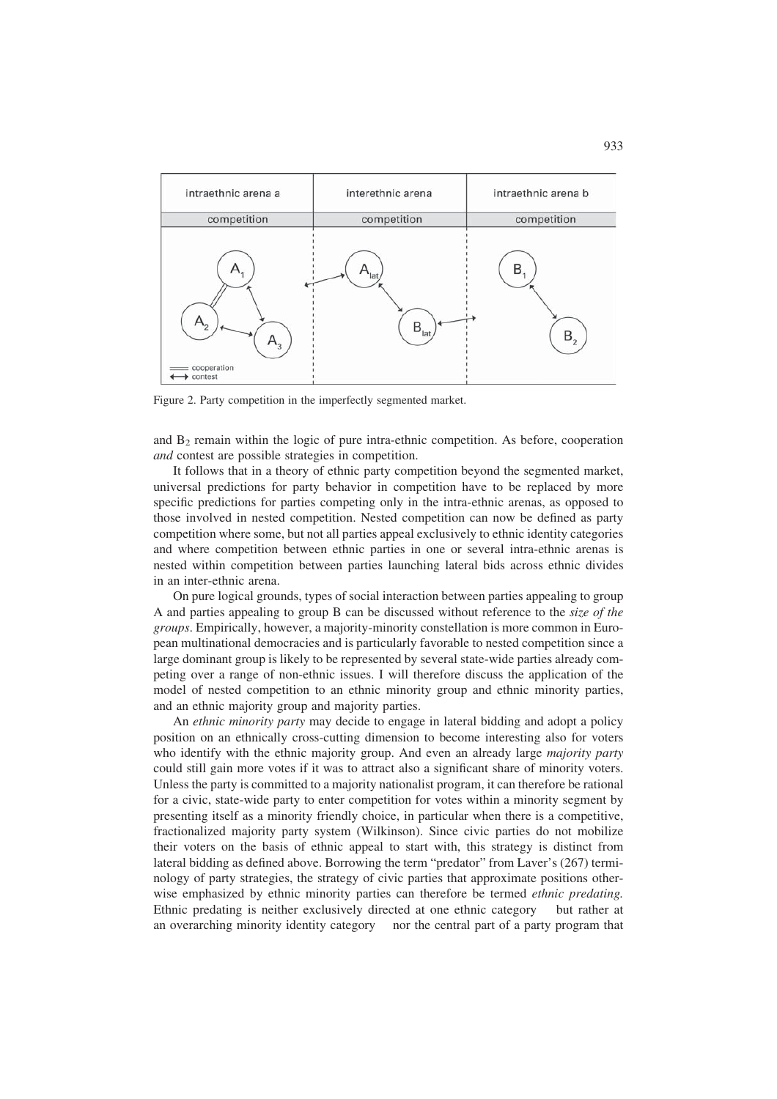

Figure 2. Party competition in the imperfectly segmented market.

and  $B<sub>2</sub>$  remain within the logic of pure intra-ethnic competition. As before, cooperation and contest are possible strategies in competition.

It follows that in a theory of ethnic party competition beyond the segmented market, universal predictions for party behavior in competition have to be replaced by more specific predictions for parties competing only in the intra-ethnic arenas, as opposed to those involved in nested competition. Nested competition can now be defined as party competition where some, but not all parties appeal exclusively to ethnic identity categories and where competition between ethnic parties in one or several intra-ethnic arenas is nested within competition between parties launching lateral bids across ethnic divides in an inter-ethnic arena.

On pure logical grounds, types of social interaction between parties appealing to group A and parties appealing to group B can be discussed without reference to the size of the groups. Empirically, however, a majority-minority constellation is more common in European multinational democracies and is particularly favorable to nested competition since a large dominant group is likely to be represented by several state-wide parties already competing over a range of non-ethnic issues. I will therefore discuss the application of the model of nested competition to an ethnic minority group and ethnic minority parties, and an ethnic majority group and majority parties.

An *ethnic minority party* may decide to engage in lateral bidding and adopt a policy position on an ethnically cross-cutting dimension to become interesting also for voters who identify with the ethnic majority group. And even an already large *majority party* could still gain more votes if it was to attract also a significant share of minority voters. Unless the party is committed to a majority nationalist program, it can therefore be rational for a civic, state-wide party to enter competition for votes within a minority segment by presenting itself as a minority friendly choice, in particular when there is a competitive, fractionalized majority party system (Wilkinson). Since civic parties do not mobilize their voters on the basis of ethnic appeal to start with, this strategy is distinct from lateral bidding as defined above. Borrowing the term "predator" from Laver's (267) terminology of party strategies, the strategy of civic parties that approximate positions otherwise emphasized by ethnic minority parties can therefore be termed *ethnic predating*. Ethnic predating is neither exclusively directed at one ethnic category but rather at an overarching minority identity category nor the central part of a party program that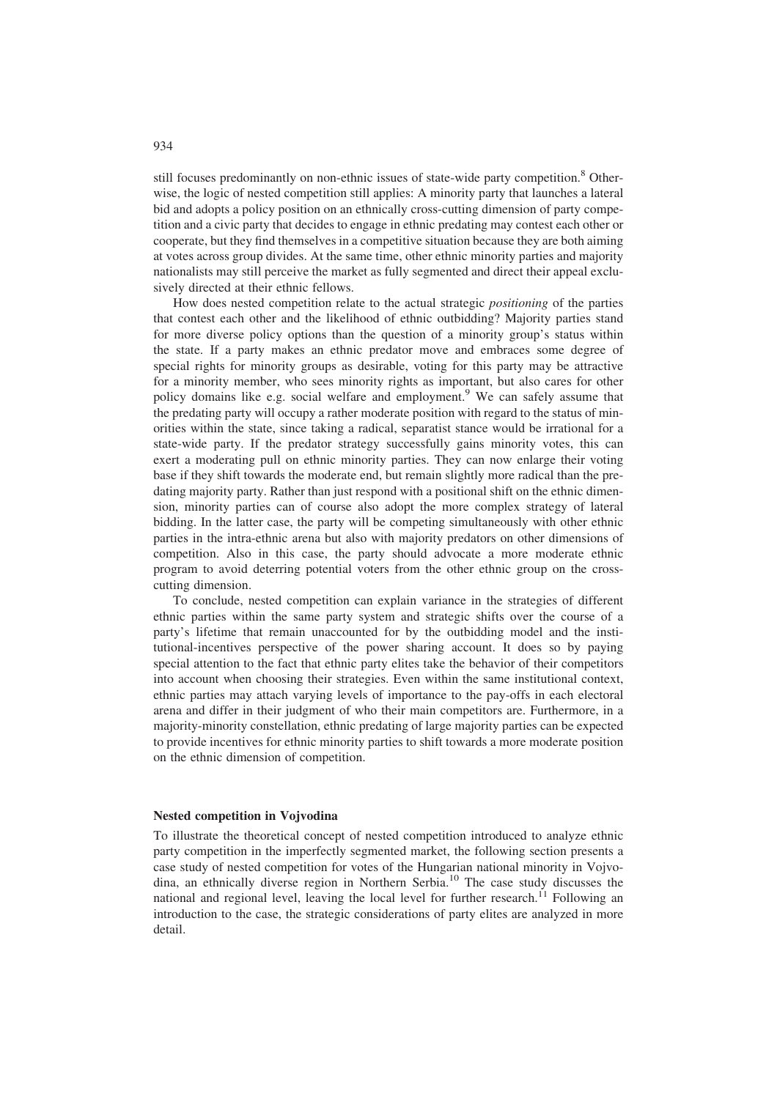still focuses predominantly on non-ethnic issues of state-wide party competition.<sup>8</sup> Otherwise, the logic of nested competition still applies: A minority party that launches a lateral bid and adopts a policy position on an ethnically cross-cutting dimension of party competition and a civic party that decides to engage in ethnic predating may contest each other or cooperate, but they find themselves in a competitive situation because they are both aiming at votes across group divides. At the same time, other ethnic minority parties and majority nationalists may still perceive the market as fully segmented and direct their appeal exclusively directed at their ethnic fellows.

How does nested competition relate to the actual strategic positioning of the parties that contest each other and the likelihood of ethnic outbidding? Majority parties stand for more diverse policy options than the question of a minority group's status within the state. If a party makes an ethnic predator move and embraces some degree of special rights for minority groups as desirable, voting for this party may be attractive for a minority member, who sees minority rights as important, but also cares for other policy domains like e.g. social welfare and employment.<sup>9</sup> We can safely assume that the predating party will occupy a rather moderate position with regard to the status of minorities within the state, since taking a radical, separatist stance would be irrational for a state-wide party. If the predator strategy successfully gains minority votes, this can exert a moderating pull on ethnic minority parties. They can now enlarge their voting base if they shift towards the moderate end, but remain slightly more radical than the predating majority party. Rather than just respond with a positional shift on the ethnic dimension, minority parties can of course also adopt the more complex strategy of lateral bidding. In the latter case, the party will be competing simultaneously with other ethnic parties in the intra-ethnic arena but also with majority predators on other dimensions of competition. Also in this case, the party should advocate a more moderate ethnic program to avoid deterring potential voters from the other ethnic group on the crosscutting dimension.

To conclude, nested competition can explain variance in the strategies of different ethnic parties within the same party system and strategic shifts over the course of a party's lifetime that remain unaccounted for by the outbidding model and the institutional-incentives perspective of the power sharing account. It does so by paying special attention to the fact that ethnic party elites take the behavior of their competitors into account when choosing their strategies. Even within the same institutional context, ethnic parties may attach varying levels of importance to the pay-offs in each electoral arena and differ in their judgment of who their main competitors are. Furthermore, in a majority-minority constellation, ethnic predating of large majority parties can be expected to provide incentives for ethnic minority parties to shift towards a more moderate position on the ethnic dimension of competition.

#### Nested competition in Vojvodina

To illustrate the theoretical concept of nested competition introduced to analyze ethnic party competition in the imperfectly segmented market, the following section presents a case study of nested competition for votes of the Hungarian national minority in Vojvodina, an ethnically diverse region in Northern Serbia.<sup>10</sup> The case study discusses the national and regional level, leaving the local level for further research.<sup>11</sup> Following an introduction to the case, the strategic considerations of party elites are analyzed in more detail.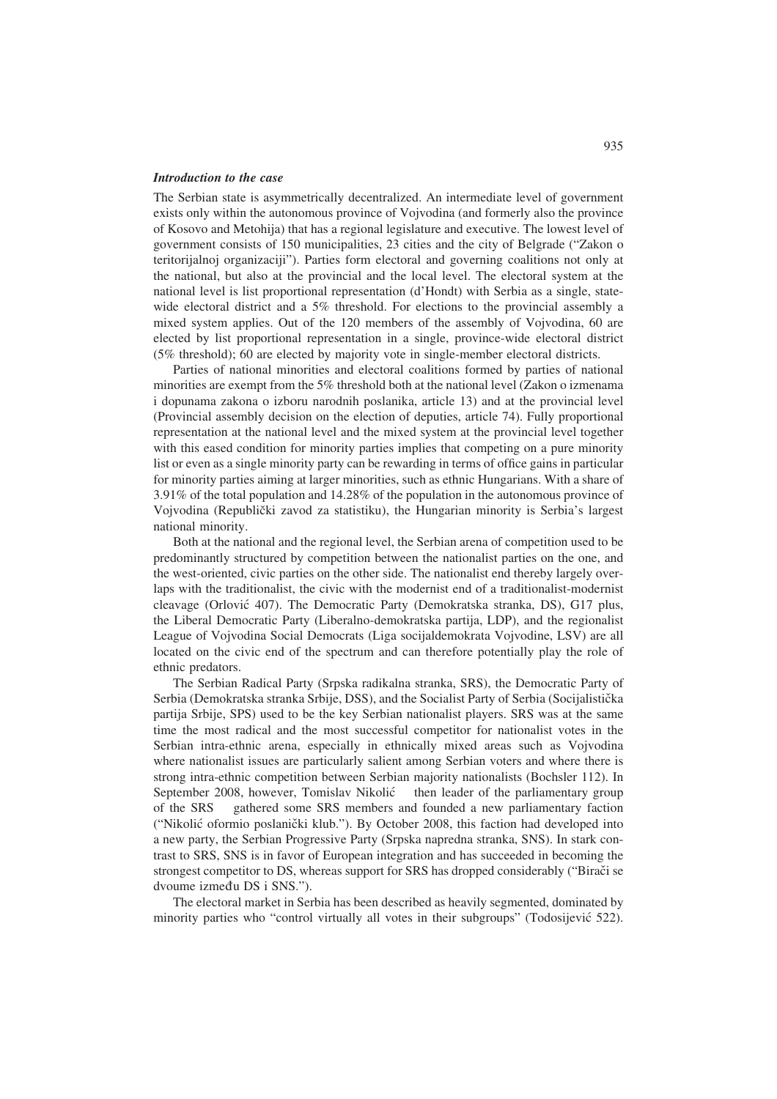#### Introduction to the case

The Serbian state is asymmetrically decentralized. An intermediate level of government exists only within the autonomous province of Vojvodina (and formerly also the province of Kosovo and Metohija) that has a regional legislature and executive. The lowest level of government consists of 150 municipalities, 23 cities and the city of Belgrade ("Zakon o teritorijalnoj organizaciji"). Parties form electoral and governing coalitions not only at the national, but also at the provincial and the local level. The electoral system at the national level is list proportional representation (d'Hondt) with Serbia as a single, statewide electoral district and a 5% threshold. For elections to the provincial assembly a mixed system applies. Out of the 120 members of the assembly of Vojvodina, 60 are elected by list proportional representation in a single, province-wide electoral district (5% threshold); 60 are elected by majority vote in single-member electoral districts.

Parties of national minorities and electoral coalitions formed by parties of national minorities are exempt from the 5% threshold both at the national level (Zakon o izmenama i dopunama zakona o izboru narodnih poslanika, article 13) and at the provincial level (Provincial assembly decision on the election of deputies, article 74). Fully proportional representation at the national level and the mixed system at the provincial level together with this eased condition for minority parties implies that competing on a pure minority list or even as a single minority party can be rewarding in terms of office gains in particular for minority parties aiming at larger minorities, such as ethnic Hungarians. With a share of 3.91% of the total population and 14.28% of the population in the autonomous province of Vojvodina (Republički zavod za statistiku), the Hungarian minority is Serbia's largest national minority.

Both at the national and the regional level, the Serbian arena of competition used to be predominantly structured by competition between the nationalist parties on the one, and the west-oriented, civic parties on the other side. The nationalist end thereby largely overlaps with the traditionalist, the civic with the modernist end of a traditionalist-modernist cleavage (Orlovic´ 407). The Democratic Party (Demokratska stranka, DS), G17 plus, the Liberal Democratic Party (Liberalno-demokratska partija, LDP), and the regionalist League of Vojvodina Social Democrats (Liga socijaldemokrata Vojvodine, LSV) are all located on the civic end of the spectrum and can therefore potentially play the role of ethnic predators.

The Serbian Radical Party (Srpska radikalna stranka, SRS), the Democratic Party of Serbia (Demokratska stranka Srbije, DSS), and the Socialist Party of Serbia (Socijalistička partija Srbije, SPS) used to be the key Serbian nationalist players. SRS was at the same time the most radical and the most successful competitor for nationalist votes in the Serbian intra-ethnic arena, especially in ethnically mixed areas such as Vojvodina where nationalist issues are particularly salient among Serbian voters and where there is strong intra-ethnic competition between Serbian majority nationalists (Bochsler 112). In September 2008, however, Tomislav Nikolić then leader of the parliamentary group of the SRS gathered some SRS members and founded a new parliamentary faction ("Nikolić oformio poslanički klub."). By October 2008, this faction had developed into a new party, the Serbian Progressive Party (Srpska napredna stranka, SNS). In stark contrast to SRS, SNS is in favor of European integration and has succeeded in becoming the strongest competitor to DS, whereas support for SRS has dropped considerably ("Birači se dvoume izmedu DS i SNS.").

The electoral market in Serbia has been described as heavily segmented, dominated by minority parties who "control virtually all votes in their subgroups" (Todosijevic´ 522).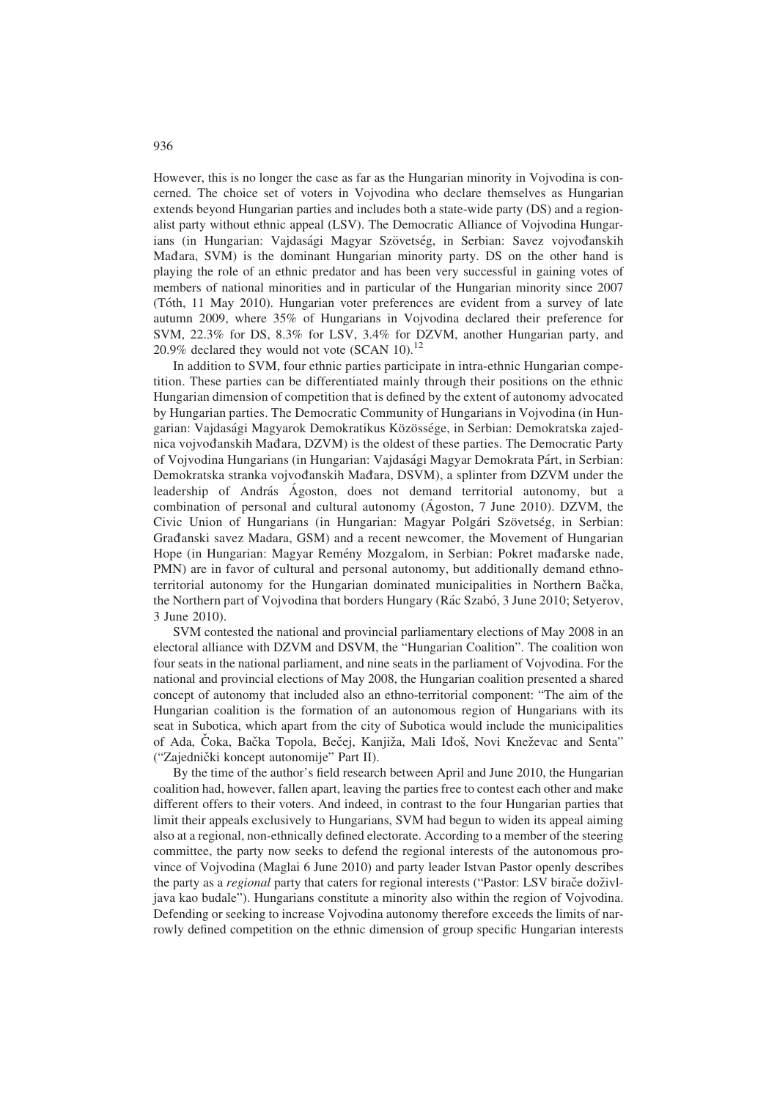However, this is no longer the case as far as the Hungarian minority in Vojvodina is concerned. The choice set of voters in Vojvodina who declare themselves as Hungarian extends beyond Hungarian parties and includes both a state-wide party (DS) and a regionalist party without ethnic appeal (LSV). The Democratic Alliance of Vojvodina Hungarians (in Hungarian: Vajdasági Magyar Szövetség, in Serbian: Savez vojvođanskih Madara, SVM) is the dominant Hungarian minority party. DS on the other hand is playing the role of an ethnic predator and has been very successful in gaining votes of members of national minorities and in particular of the Hungarian minority since 2007 (Tóth, 11 May 2010). Hungarian voter preferences are evident from a survey of late autumn 2009, where 35% of Hungarians in Vojvodina declared their preference for SVM, 22.3% for DS, 8.3% for LSV, 3.4% for DZVM, another Hungarian party, and  $20.9\%$  declared they would not vote (SCAN 10).<sup>12</sup>

In addition to SVM, four ethnic parties participate in intra-ethnic Hungarian competition. These parties can be differentiated mainly through their positions on the ethnic Hungarian dimension of competition that is defined by the extent of autonomy advocated by Hungarian parties. The Democratic Community of Hungarians in Vojvodina (in Hungarian: Vajdasági Magyarok Demokratikus Közössége, in Serbian: Demokratska zajednica vojvodanskih Madara, DZVM) is the oldest of these parties. The Democratic Party of Vojvodina Hungarians (in Hungarian: Vajdasa´gi Magyar Demokrata Pa´rt, in Serbian: Demokratska stranka vojvodanskih Madara, DSVM), a splinter from DZVM under the leadership of András Ágoston, does not demand territorial autonomy, but a combination of personal and cultural autonomy (Ágoston, 7 June 2010). DZVM, the Civic Union of Hungarians (in Hungarian: Magyar Polgári Szövetség, in Serbian: Gradanski savez Madara, GSM) and a recent newcomer, the Movement of Hungarian Hope (in Hungarian: Magyar Remény Mozgalom, in Serbian: Pokret mađarske nade, PMN) are in favor of cultural and personal autonomy, but additionally demand ethnoterritorial autonomy for the Hungarian dominated municipalities in Northern Bačka, the Northern part of Vojvodina that borders Hungary (Rác Szabó, 3 June 2010; Setyerov, 3 June 2010).

SVM contested the national and provincial parliamentary elections of May 2008 in an electoral alliance with DZVM and DSVM, the "Hungarian Coalition". The coalition won four seats in the national parliament, and nine seats in the parliament of Vojvodina. For the national and provincial elections of May 2008, the Hungarian coalition presented a shared concept of autonomy that included also an ethno-territorial component: "The aim of the Hungarian coalition is the formation of an autonomous region of Hungarians with its seat in Subotica, which apart from the city of Subotica would include the municipalities of Ada, Čoka, Bačka Topola, Bečej, Kanjiža, Mali Iđoš, Novi Kneževac and Senta" ("Zajednički koncept autonomije" Part II).

By the time of the author's field research between April and June 2010, the Hungarian coalition had, however, fallen apart, leaving the parties free to contest each other and make different offers to their voters. And indeed, in contrast to the four Hungarian parties that limit their appeals exclusively to Hungarians, SVM had begun to widen its appeal aiming also at a regional, non-ethnically defined electorate. According to a member of the steering committee, the party now seeks to defend the regional interests of the autonomous province of Vojvodina (Maglai 6 June 2010) and party leader Istvan Pastor openly describes the party as a *regional* party that caters for regional interests ("Pastor: LSV birac̆e doz̆ivljava kao budale"). Hungarians constitute a minority also within the region of Vojvodina. Defending or seeking to increase Vojvodina autonomy therefore exceeds the limits of narrowly defined competition on the ethnic dimension of group specific Hungarian interests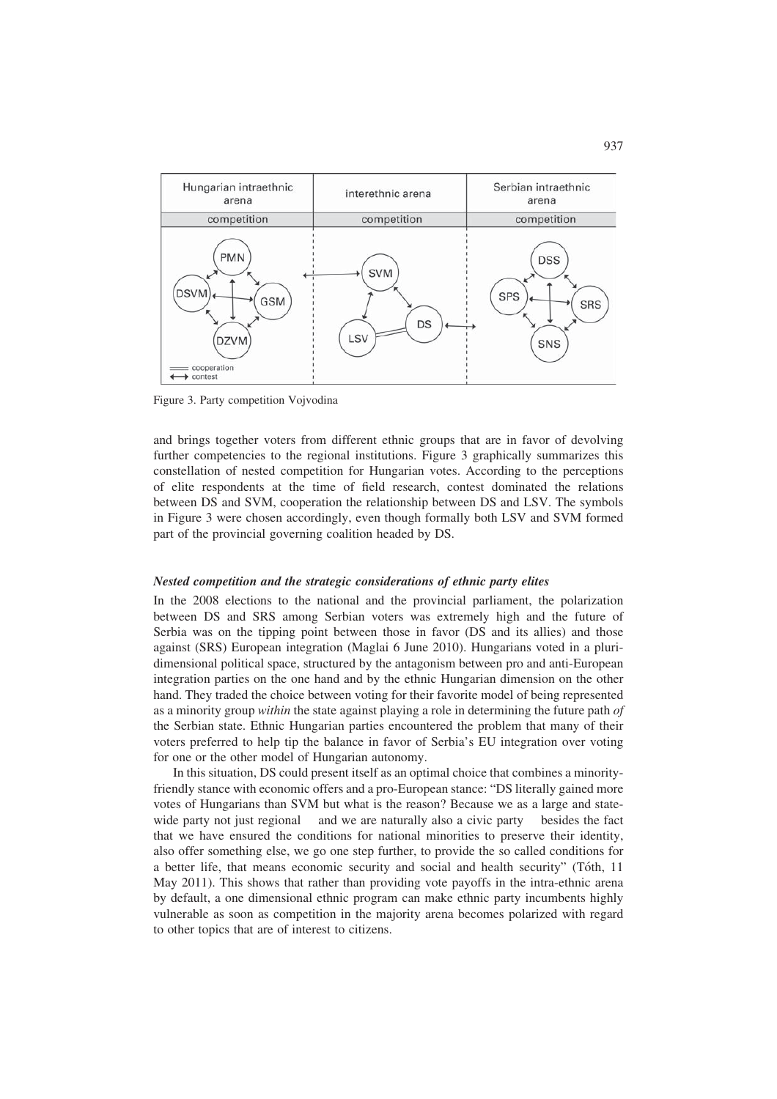

Figure 3. Party competition Vojvodina

and brings together voters from different ethnic groups that are in favor of devolving further competencies to the regional institutions. Figure 3 graphically summarizes this constellation of nested competition for Hungarian votes. According to the perceptions of elite respondents at the time of field research, contest dominated the relations between DS and SVM, cooperation the relationship between DS and LSV. The symbols in Figure 3 were chosen accordingly, even though formally both LSV and SVM formed part of the provincial governing coalition headed by DS.

### Nested competition and the strategic considerations of ethnic party elites

In the 2008 elections to the national and the provincial parliament, the polarization between DS and SRS among Serbian voters was extremely high and the future of Serbia was on the tipping point between those in favor (DS and its allies) and those against (SRS) European integration (Maglai 6 June 2010). Hungarians voted in a pluridimensional political space, structured by the antagonism between pro and anti-European integration parties on the one hand and by the ethnic Hungarian dimension on the other hand. They traded the choice between voting for their favorite model of being represented as a minority group within the state against playing a role in determining the future path of the Serbian state. Ethnic Hungarian parties encountered the problem that many of their voters preferred to help tip the balance in favor of Serbia's EU integration over voting for one or the other model of Hungarian autonomy.

In this situation, DS could present itself as an optimal choice that combines a minorityfriendly stance with economic offers and a pro-European stance: "DS literally gained more votes of Hungarians than SVM but what is the reason? Because we as a large and statewide party not just regional and we are naturally also a civic party besides the fact that we have ensured the conditions for national minorities to preserve their identity, also offer something else, we go one step further, to provide the so called conditions for a better life, that means economic security and social and health security" (Tóth, 11) May 2011). This shows that rather than providing vote payoffs in the intra-ethnic arena by default, a one dimensional ethnic program can make ethnic party incumbents highly vulnerable as soon as competition in the majority arena becomes polarized with regard to other topics that are of interest to citizens.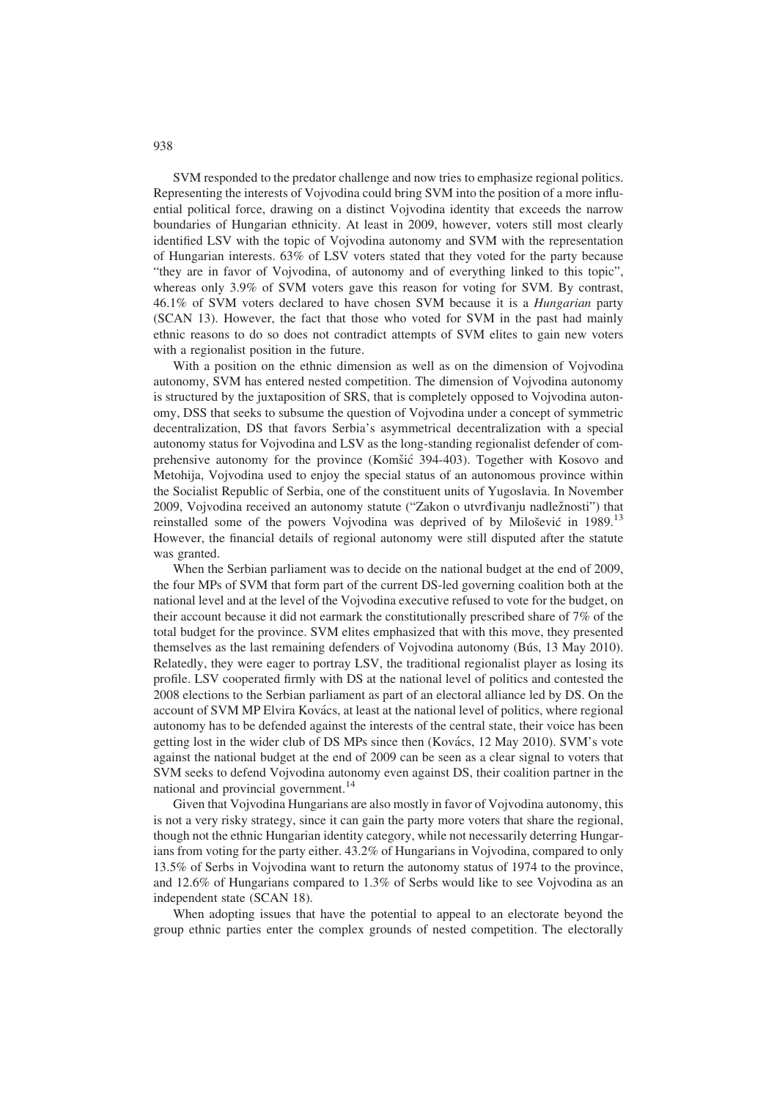SVM responded to the predator challenge and now tries to emphasize regional politics. Representing the interests of Vojvodina could bring SVM into the position of a more influential political force, drawing on a distinct Vojvodina identity that exceeds the narrow boundaries of Hungarian ethnicity. At least in 2009, however, voters still most clearly identified LSV with the topic of Vojvodina autonomy and SVM with the representation of Hungarian interests. 63% of LSV voters stated that they voted for the party because "they are in favor of Vojvodina, of autonomy and of everything linked to this topic", whereas only 3.9% of SVM voters gave this reason for voting for SVM. By contrast, 46.1% of SVM voters declared to have chosen SVM because it is a Hungarian party (SCAN 13). However, the fact that those who voted for SVM in the past had mainly ethnic reasons to do so does not contradict attempts of SVM elites to gain new voters with a regionalist position in the future.

With a position on the ethnic dimension as well as on the dimension of Vojvodina autonomy, SVM has entered nested competition. The dimension of Vojvodina autonomy is structured by the juxtaposition of SRS, that is completely opposed to Vojvodina autonomy, DSS that seeks to subsume the question of Vojvodina under a concept of symmetric decentralization, DS that favors Serbia's asymmetrical decentralization with a special autonomy status for Vojvodina and LSV as the long-standing regionalist defender of comprehensive autonomy for the province (Komšić 394-403). Together with Kosovo and Metohija, Vojvodina used to enjoy the special status of an autonomous province within the Socialist Republic of Serbia, one of the constituent units of Yugoslavia. In November 2009, Vojvodina received an autonomy statute ("Zakon o utvrđivanju nadležnosti") that reinstalled some of the powers Vojvodina was deprived of by Milošević in 1989.<sup>13</sup> However, the financial details of regional autonomy were still disputed after the statute was granted.

When the Serbian parliament was to decide on the national budget at the end of 2009, the four MPs of SVM that form part of the current DS-led governing coalition both at the national level and at the level of the Vojvodina executive refused to vote for the budget, on their account because it did not earmark the constitutionally prescribed share of 7% of the total budget for the province. SVM elites emphasized that with this move, they presented themselves as the last remaining defenders of Vojvodina autonomy (Bús, 13 May 2010). Relatedly, they were eager to portray LSV, the traditional regionalist player as losing its profile. LSV cooperated firmly with DS at the national level of politics and contested the 2008 elections to the Serbian parliament as part of an electoral alliance led by DS. On the account of SVM MP Elvira Kovács, at least at the national level of politics, where regional autonomy has to be defended against the interests of the central state, their voice has been getting lost in the wider club of DS MPs since then (Kovács, 12 May 2010). SVM's vote against the national budget at the end of 2009 can be seen as a clear signal to voters that SVM seeks to defend Vojvodina autonomy even against DS, their coalition partner in the national and provincial government.<sup>14</sup>

Given that Vojvodina Hungarians are also mostly in favor of Vojvodina autonomy, this is not a very risky strategy, since it can gain the party more voters that share the regional, though not the ethnic Hungarian identity category, while not necessarily deterring Hungarians from voting for the party either. 43.2% of Hungarians in Vojvodina, compared to only 13.5% of Serbs in Vojvodina want to return the autonomy status of 1974 to the province, and 12.6% of Hungarians compared to 1.3% of Serbs would like to see Vojvodina as an independent state (SCAN 18).

When adopting issues that have the potential to appeal to an electorate beyond the group ethnic parties enter the complex grounds of nested competition. The electorally

938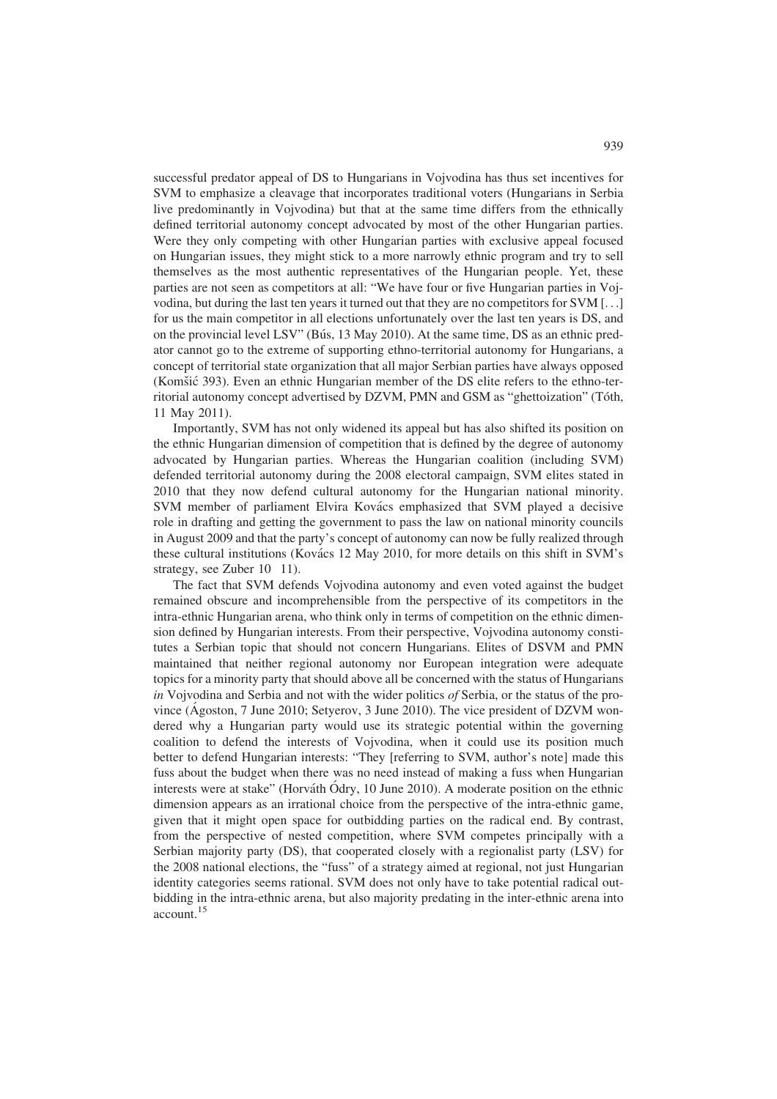successful predator appeal of DS to Hungarians in Vojvodina has thus set incentives for SVM to emphasize a cleavage that incorporates traditional voters (Hungarians in Serbia live predominantly in Vojvodina) but that at the same time differs from the ethnically defined territorial autonomy concept advocated by most of the other Hungarian parties. Were they only competing with other Hungarian parties with exclusive appeal focused on Hungarian issues, they might stick to a more narrowly ethnic program and try to sell themselves as the most authentic representatives of the Hungarian people. Yet, these parties are not seen as competitors at all: "We have four or five Hungarian parties in Vojvodina, but during the last ten years it turned out that they are no competitors for SVM [...] for us the main competitor in all elections unfortunately over the last ten years is DS, and on the provincial level LSV" (Bús, 13 May 2010). At the same time, DS as an ethnic predator cannot go to the extreme of supporting ethno-territorial autonomy for Hungarians, a concept of territorial state organization that all major Serbian parties have always opposed (Komšić 393). Even an ethnic Hungarian member of the DS elite refers to the ethno-territorial autonomy concept advertised by DZVM, PMN and GSM as "ghettoization" (Tóth, 11 May 2011).

Importantly, SVM has not only widened its appeal but has also shifted its position on the ethnic Hungarian dimension of competition that is defined by the degree of autonomy advocated by Hungarian parties. Whereas the Hungarian coalition (including SVM) defended territorial autonomy during the 2008 electoral campaign, SVM elites stated in 2010 that they now defend cultural autonomy for the Hungarian national minority. SVM member of parliament Elvira Kovács emphasized that SVM played a decisive role in drafting and getting the government to pass the law on national minority councils in August 2009 and that the party's concept of autonomy can now be fully realized through these cultural institutions (Kovács 12 May 2010, for more details on this shift in SVM's strategy, see Zuber 10 11).

The fact that SVM defends Vojvodina autonomy and even voted against the budget remained obscure and incomprehensible from the perspective of its competitors in the intra-ethnic Hungarian arena, who think only in terms of competition on the ethnic dimension defined by Hungarian interests. From their perspective, Vojvodina autonomy constitutes a Serbian topic that should not concern Hungarians. Elites of DSVM and PMN maintained that neither regional autonomy nor European integration were adequate topics for a minority party that should above all be concerned with the status of Hungarians in Voivodina and Serbia and not with the wider politics of Serbia, or the status of the province (Agoston, 7 June 2010; Setyerov, 3 June 2010). The vice president of DZVM wondered why a Hungarian party would use its strategic potential within the governing coalition to defend the interests of Vojvodina, when it could use its position much better to defend Hungarian interests: "They [referring to SVM, author's note] made this fuss about the budget when there was no need instead of making a fuss when Hungarian interests were at stake" (Horváth Ódry, 10 June 2010). A moderate position on the ethnic dimension appears as an irrational choice from the perspective of the intra-ethnic game, given that it might open space for outbidding parties on the radical end. By contrast, from the perspective of nested competition, where SVM competes principally with a Serbian majority party (DS), that cooperated closely with a regionalist party (LSV) for the 2008 national elections, the "fuss" of a strategy aimed at regional, not just Hungarian identity categories seems rational. SVM does not only have to take potential radical outbidding in the intra-ethnic arena, but also majority predating in the inter-ethnic arena into account.<sup>15</sup>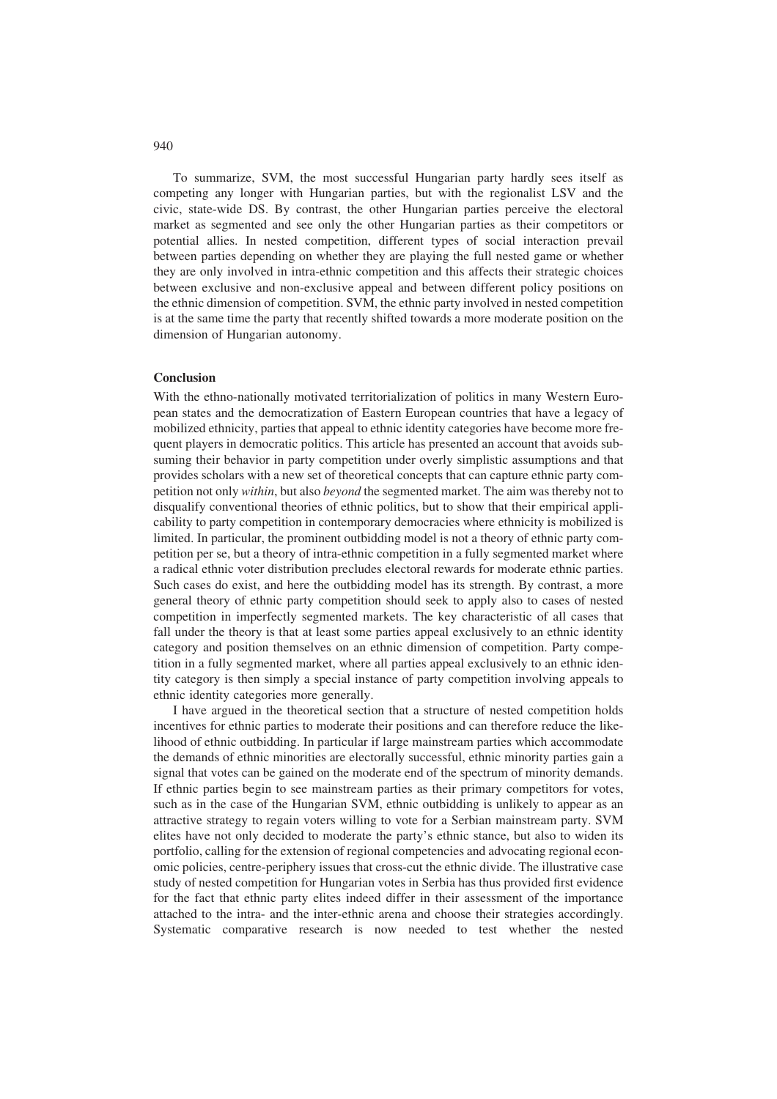To summarize, SVM, the most successful Hungarian party hardly sees itself as competing any longer with Hungarian parties, but with the regionalist LSV and the civic, state-wide DS. By contrast, the other Hungarian parties perceive the electoral market as segmented and see only the other Hungarian parties as their competitors or potential allies. In nested competition, different types of social interaction prevail between parties depending on whether they are playing the full nested game or whether they are only involved in intra-ethnic competition and this affects their strategic choices between exclusive and non-exclusive appeal and between different policy positions on the ethnic dimension of competition. SVM, the ethnic party involved in nested competition is at the same time the party that recently shifted towards a more moderate position on the dimension of Hungarian autonomy.

## Conclusion

With the ethno-nationally motivated territorialization of politics in many Western European states and the democratization of Eastern European countries that have a legacy of mobilized ethnicity, parties that appeal to ethnic identity categories have become more frequent players in democratic politics. This article has presented an account that avoids subsuming their behavior in party competition under overly simplistic assumptions and that provides scholars with a new set of theoretical concepts that can capture ethnic party competition not only within, but also beyond the segmented market. The aim was thereby not to disqualify conventional theories of ethnic politics, but to show that their empirical applicability to party competition in contemporary democracies where ethnicity is mobilized is limited. In particular, the prominent outbidding model is not a theory of ethnic party competition per se, but a theory of intra-ethnic competition in a fully segmented market where a radical ethnic voter distribution precludes electoral rewards for moderate ethnic parties. Such cases do exist, and here the outbidding model has its strength. By contrast, a more general theory of ethnic party competition should seek to apply also to cases of nested competition in imperfectly segmented markets. The key characteristic of all cases that fall under the theory is that at least some parties appeal exclusively to an ethnic identity category and position themselves on an ethnic dimension of competition. Party competition in a fully segmented market, where all parties appeal exclusively to an ethnic identity category is then simply a special instance of party competition involving appeals to ethnic identity categories more generally.

I have argued in the theoretical section that a structure of nested competition holds incentives for ethnic parties to moderate their positions and can therefore reduce the likelihood of ethnic outbidding. In particular if large mainstream parties which accommodate the demands of ethnic minorities are electorally successful, ethnic minority parties gain a signal that votes can be gained on the moderate end of the spectrum of minority demands. If ethnic parties begin to see mainstream parties as their primary competitors for votes, such as in the case of the Hungarian SVM, ethnic outbidding is unlikely to appear as an attractive strategy to regain voters willing to vote for a Serbian mainstream party. SVM elites have not only decided to moderate the party's ethnic stance, but also to widen its portfolio, calling for the extension of regional competencies and advocating regional economic policies, centre-periphery issues that cross-cut the ethnic divide. The illustrative case study of nested competition for Hungarian votes in Serbia has thus provided first evidence for the fact that ethnic party elites indeed differ in their assessment of the importance attached to the intra- and the inter-ethnic arena and choose their strategies accordingly. Systematic comparative research is now needed to test whether the nested

940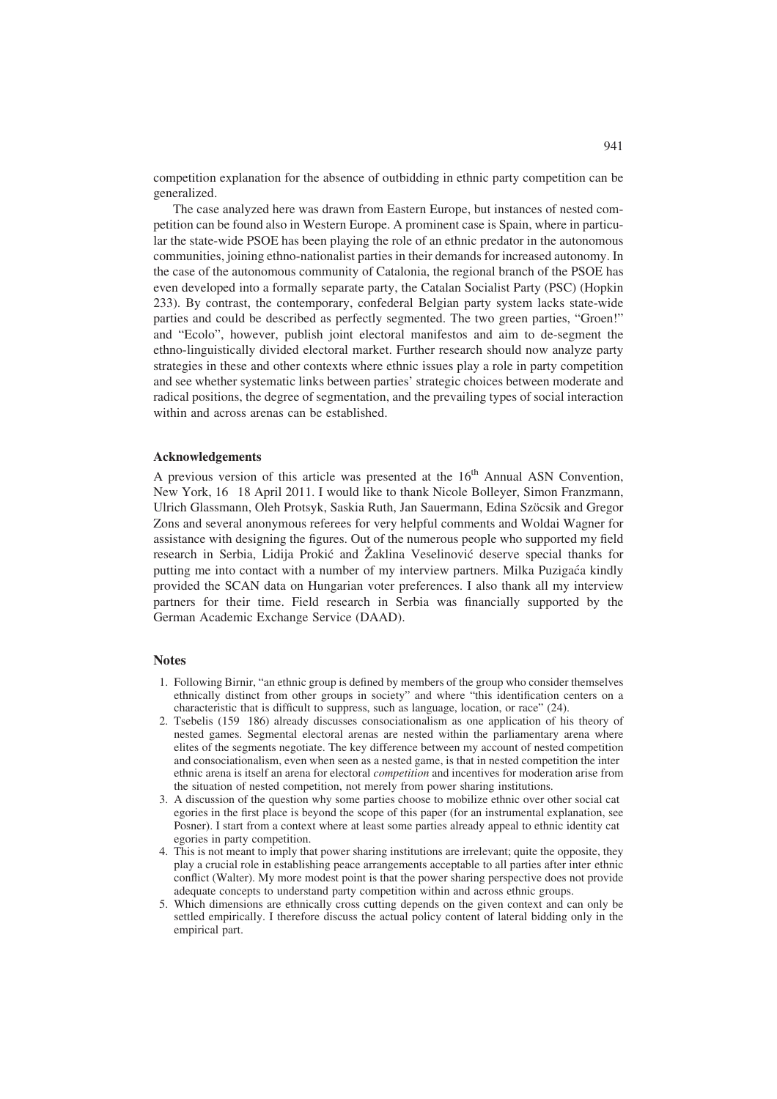competition explanation for the absence of outbidding in ethnic party competition can be generalized.

The case analyzed here was drawn from Eastern Europe, but instances of nested competition can be found also in Western Europe. A prominent case is Spain, where in particular the state-wide PSOE has been playing the role of an ethnic predator in the autonomous communities, joining ethno-nationalist parties in their demands for increased autonomy. In the case of the autonomous community of Catalonia, the regional branch of the PSOE has even developed into a formally separate party, the Catalan Socialist Party (PSC) (Hopkin 233). By contrast, the contemporary, confederal Belgian party system lacks state-wide parties and could be described as perfectly segmented. The two green parties, "Groen!" and "Ecolo", however, publish joint electoral manifestos and aim to de-segment the ethno-linguistically divided electoral market. Further research should now analyze party strategies in these and other contexts where ethnic issues play a role in party competition and see whether systematic links between parties' strategic choices between moderate and radical positions, the degree of segmentation, and the prevailing types of social interaction within and across arenas can be established.

#### Acknowledgements

A previous version of this article was presented at the  $16<sup>th</sup>$  Annual ASN Convention, New York, 16 18 April 2011. I would like to thank Nicole Bolleyer, Simon Franzmann, Ulrich Glassmann, Oleh Protsyk, Saskia Ruth, Jan Sauermann, Edina Szöcsik and Gregor Zons and several anonymous referees for very helpful comments and Woldai Wagner for assistance with designing the figures. Out of the numerous people who supported my field research in Serbia, Lidija Prokić and Žaklina Veselinović deserve special thanks for putting me into contact with a number of my interview partners. Milka Puzigaća kindly provided the SCAN data on Hungarian voter preferences. I also thank all my interview partners for their time. Field research in Serbia was financially supported by the German Academic Exchange Service (DAAD).

#### **Notes**

- 1. Following Birnir, "an ethnic group is defined by members of the group who consider themselves ethnically distinct from other groups in society" and where "this identification centers on a characteristic that is difficult to suppress, such as language, location, or race" (24).
- 2. Tsebelis (159 186) already discusses consociationalism as one application of his theory of nested games. Segmental electoral arenas are nested within the parliamentary arena where elites of the segments negotiate. The key difference between my account of nested competition and consociationalism, even when seen as a nested game, is that in nested competition the inter ethnic arena is itself an arena for electoral competition and incentives for moderation arise from the situation of nested competition, not merely from power sharing institutions.
- 3. A discussion of the question why some parties choose to mobilize ethnic over other social cat egories in the first place is beyond the scope of this paper (for an instrumental explanation, see Posner). I start from a context where at least some parties already appeal to ethnic identity cat egories in party competition.
- 4. This is not meant to imply that power sharing institutions are irrelevant; quite the opposite, they play a crucial role in establishing peace arrangements acceptable to all parties after inter ethnic conflict (Walter). My more modest point is that the power sharing perspective does not provide adequate concepts to understand party competition within and across ethnic groups.
- 5. Which dimensions are ethnically cross cutting depends on the given context and can only be settled empirically. I therefore discuss the actual policy content of lateral bidding only in the empirical part.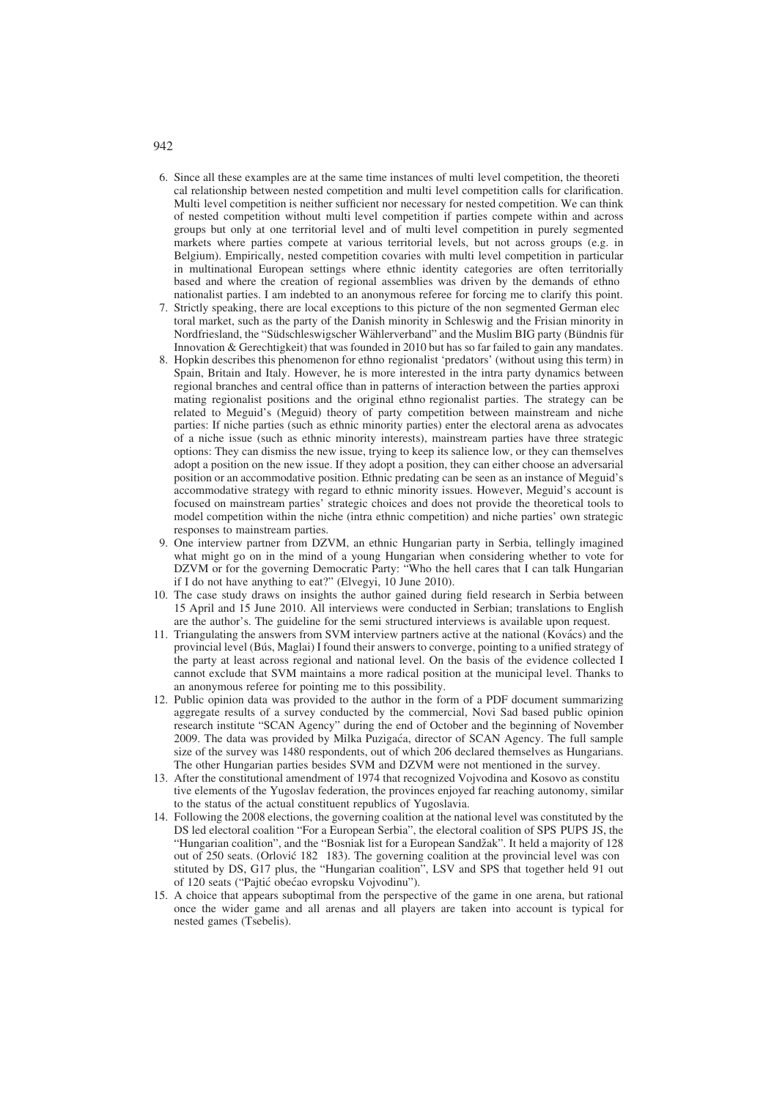- 6. Since all these examples are at the same time instances of multi level competition, the theoreti cal relationship between nested competition and multi level competition calls for clarification. Multi level competition is neither sufficient nor necessary for nested competition. We can think of nested competition without multi level competition if parties compete within and across groups but only at one territorial level and of multi level competition in purely segmented markets where parties compete at various territorial levels, but not across groups (e.g. in Belgium). Empirically, nested competition covaries with multi level competition in particular in multinational European settings where ethnic identity categories are often territorially based and where the creation of regional assemblies was driven by the demands of ethno nationalist parties. I am indebted to an anonymous referee for forcing me to clarify this point.
- 7. Strictly speaking, there are local exceptions to this picture of the non segmented German elec toral market, such as the party of the Danish minority in Schleswig and the Frisian minority in Nordfriesland, the "Südschleswigscher Wählerverband" and the Muslim BIG party (Bündnis für Innovation & Gerechtigkeit) that was founded in 2010 but has so far failed to gain any mandates.
- 8. Hopkin describes this phenomenon for ethno regionalist 'predators' (without using this term) in Spain, Britain and Italy. However, he is more interested in the intra party dynamics between regional branches and central office than in patterns of interaction between the parties approxi mating regionalist positions and the original ethno regionalist parties. The strategy can be related to Meguid's (Meguid) theory of party competition between mainstream and niche parties: If niche parties (such as ethnic minority parties) enter the electoral arena as advocates of a niche issue (such as ethnic minority interests), mainstream parties have three strategic options: They can dismiss the new issue, trying to keep its salience low, or they can themselves adopt a position on the new issue. If they adopt a position, they can either choose an adversarial position or an accommodative position. Ethnic predating can be seen as an instance of Meguid's accommodative strategy with regard to ethnic minority issues. However, Meguid's account is focused on mainstream parties' strategic choices and does not provide the theoretical tools to model competition within the niche (intra ethnic competition) and niche parties' own strategic responses to mainstream parties.
- 9. One interview partner from DZVM, an ethnic Hungarian party in Serbia, tellingly imagined what might go on in the mind of a young Hungarian when considering whether to vote for DZVM or for the governing Democratic Party: "Who the hell cares that I can talk Hungarian if I do not have anything to eat?" (Elvegyi, 10 June 2010).
- 10. The case study draws on insights the author gained during field research in Serbia between 15 April and 15 June 2010. All interviews were conducted in Serbian; translations to English are the author's. The guideline for the semi structured interviews is available upon request.
- 11. Triangulating the answers from SVM interview partners active at the national (Kovács) and the provincial level (Bu´s, Maglai) I found their answers to converge, pointing to a unified strategy of the party at least across regional and national level. On the basis of the evidence collected I cannot exclude that SVM maintains a more radical position at the municipal level. Thanks to an anonymous referee for pointing me to this possibility.
- 12. Public opinion data was provided to the author in the form of a PDF document summarizing aggregate results of a survey conducted by the commercial, Novi Sad based public opinion research institute "SCAN Agency" during the end of October and the beginning of November 2009. The data was provided by Milka Puzigaća, director of SCAN Agency. The full sample size of the survey was 1480 respondents, out of which 206 declared themselves as Hungarians. The other Hungarian parties besides SVM and DZVM were not mentioned in the survey.
- 13. After the constitutional amendment of 1974 that recognized Vojvodina and Kosovo as constitu tive elements of the Yugoslav federation, the provinces enjoyed far reaching autonomy, similar to the status of the actual constituent republics of Yugoslavia.
- 14. Following the 2008 elections, the governing coalition at the national level was constituted by the DS led electoral coalition "For a European Serbia", the electoral coalition of SPS PUPS JS, the "Hungarian coalition", and the "Bosniak list for a European Sandžak". It held a majority of 128 out of 250 seats. (Orlovic 182 183). The governing coalition at the provincial level was con stituted by DS, G17 plus, the "Hungarian coalition", LSV and SPS that together held 91 out of 120 seats ("Pajtic´ obec´ao evropsku Vojvodinu").
- 15. A choice that appears suboptimal from the perspective of the game in one arena, but rational once the wider game and all arenas and all players are taken into account is typical for nested games (Tsebelis).

942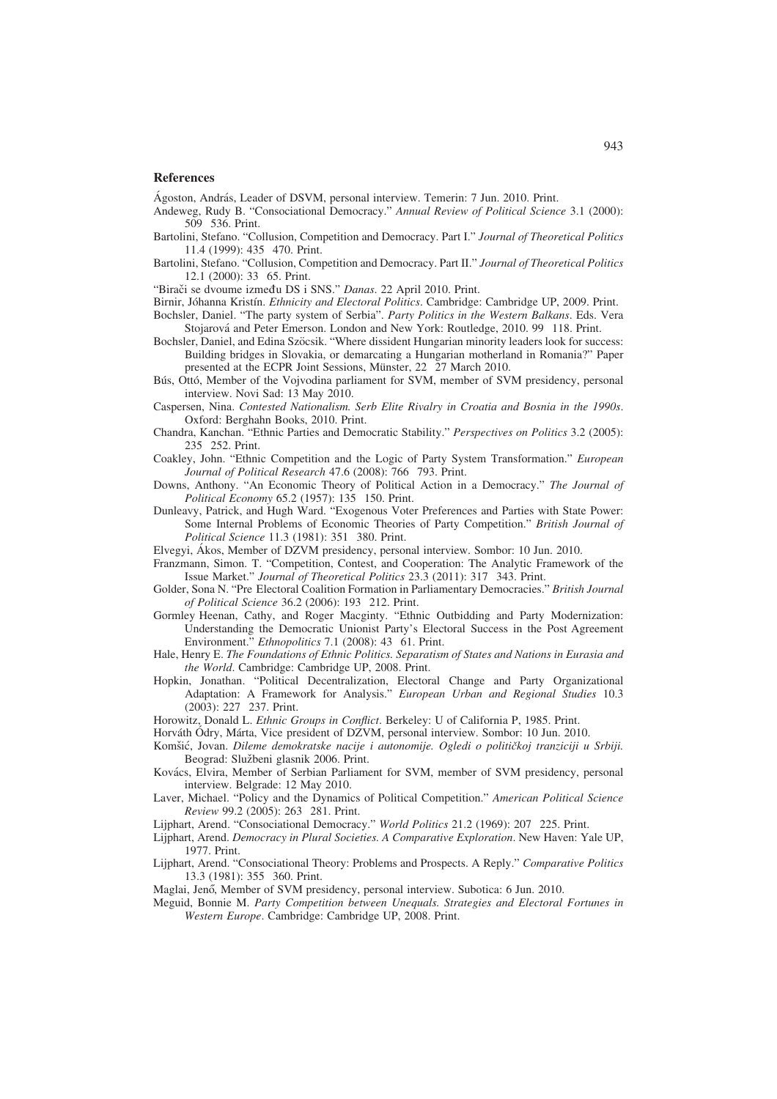### References

Ágoston, András, Leader of DSVM, personal interview. Temerin: 7 Jun. 2010. Print.

- Andeweg, Rudy B. "Consociational Democracy." Annual Review of Political Science 3.1 (2000): 509 536. Print.
- Bartolini, Stefano. "Collusion, Competition and Democracy. Part I." Journal of Theoretical Politics 11.4 (1999): 435 470. Print.
- Bartolini, Stefano. "Collusion, Competition and Democracy. Part II." Journal of Theoretical Politics 12.1 (2000): 33 65. Print.

"Birači se dvoume između DS i SNS." Danas. 22 April 2010. Print.

Birnir, Jóhanna Kristín. Ethnicity and Electoral Politics. Cambridge: Cambridge UP, 2009. Print.

- Bochsler, Daniel. "The party system of Serbia". Party Politics in the Western Balkans. Eds. Vera Stojarová and Peter Emerson. London and New York: Routledge, 2010. 99 118. Print.
- Bochsler, Daniel, and Edina Szöcsik. "Where dissident Hungarian minority leaders look for success: Building bridges in Slovakia, or demarcating a Hungarian motherland in Romania?" Paper presented at the ECPR Joint Sessions, Münster, 22 27 March 2010.
- Bús, Ottó, Member of the Vojvodina parliament for SVM, member of SVM presidency, personal interview. Novi Sad: 13 May 2010.
- Caspersen, Nina. Contested Nationalism. Serb Elite Rivalry in Croatia and Bosnia in the 1990s. Oxford: Berghahn Books, 2010. Print.
- Chandra, Kanchan. "Ethnic Parties and Democratic Stability." Perspectives on Politics 3.2 (2005): 235 252. Print.
- Coakley, John. "Ethnic Competition and the Logic of Party System Transformation." European Journal of Political Research 47.6 (2008): 766 793. Print.
- Downs, Anthony. "An Economic Theory of Political Action in a Democracy." The Journal of Political Economy 65.2 (1957): 135 150. Print.
- Dunleavy, Patrick, and Hugh Ward. "Exogenous Voter Preferences and Parties with State Power: Some Internal Problems of Economic Theories of Party Competition." British Journal of Political Science 11.3 (1981): 351 380. Print.

Elvegyi, Ákos, Member of DZVM presidency, personal interview. Sombor: 10 Jun. 2010.

- Franzmann, Simon. T. "Competition, Contest, and Cooperation: The Analytic Framework of the Issue Market." Journal of Theoretical Politics 23.3 (2011): 317 343. Print.
- Golder, Sona N. "Pre Electoral Coalition Formation in Parliamentary Democracies." British Journal of Political Science 36.2 (2006): 193 212. Print.
- Gormley Heenan, Cathy, and Roger Macginty. "Ethnic Outbidding and Party Modernization: Understanding the Democratic Unionist Party's Electoral Success in the Post Agreement Environment." Ethnopolitics 7.1 (2008): 43 61. Print.
- Hale, Henry E. The Foundations of Ethnic Politics. Separatism of States and Nations in Eurasia and the World. Cambridge: Cambridge UP, 2008. Print.
- Hopkin, Jonathan. "Political Decentralization, Electoral Change and Party Organizational Adaptation: A Framework for Analysis." European Urban and Regional Studies 10.3 (2003): 227 237. Print.
- Horowitz, Donald L. Ethnic Groups in Conflict. Berkeley: U of California P, 1985. Print.
- Horváth Ódry, Márta, Vice president of DZVM, personal interview. Sombor: 10 Jun. 2010.
- Komšić, Jovan. Dileme demokratske nacije i autonomije. Ogledi o političkoj tranziciji u Srbiji. Beograd: Službeni glasnik 2006. Print.
- Kovács, Elvira, Member of Serbian Parliament for SVM, member of SVM presidency, personal interview. Belgrade: 12 May 2010.
- Laver, Michael. "Policy and the Dynamics of Political Competition." American Political Science Review 99.2 (2005): 263 281. Print.
- Lijphart, Arend. "Consociational Democracy." World Politics 21.2 (1969): 207 225. Print.
- Lijphart, Arend. Democracy in Plural Societies. A Comparative Exploration. New Haven: Yale UP, 1977. Print.
- Lijphart, Arend. "Consociational Theory: Problems and Prospects. A Reply." Comparative Politics 13.3 (1981): 355 360. Print.
- Maglai, Jenő, Member of SVM presidency, personal interview. Subotica: 6 Jun. 2010.
- Meguid, Bonnie M. Party Competition between Unequals. Strategies and Electoral Fortunes in Western Europe. Cambridge: Cambridge UP, 2008. Print.